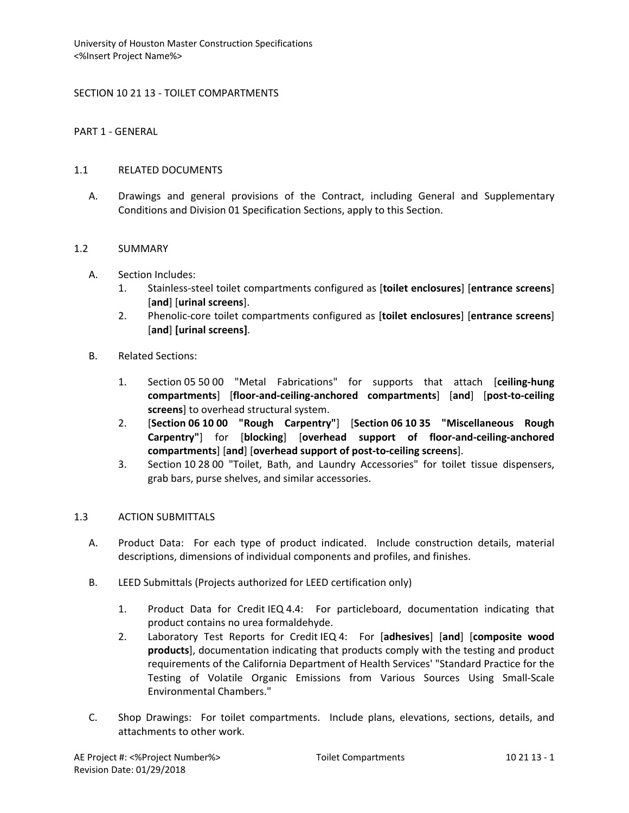# SECTION 10 21 13 - TOILET COMPARTMENTS

PART 1 - GENERAL

### 1.1 RELATED DOCUMENTS

A. Drawings and general provisions of the Contract, including General and Supplementary Conditions and Division 01 Specification Sections, apply to this Section.

### 1.2 SUMMARY

- A. Section Includes:
	- 1. Stainless-steel toilet compartments configured as [**toilet enclosures**] [**entrance screens**] [**and**] [**urinal screens**].
	- 2. Phenolic-core toilet compartments configured as [**toilet enclosures**] [**entrance screens**] [**and**] **[urinal screens]**.
- B. Related Sections:
	- 1. Section 05 50 00 "Metal Fabrications" for supports that attach [**ceiling-hung compartments**] [**floor-and-ceiling-anchored compartments**] [**and**] [**post-to-ceiling screens**] to overhead structural system.
	- 2. [**Section 06 10 00 "Rough Carpentry"**] [**Section 06 10 35 "Miscellaneous Rough Carpentry"**] for [**blocking**] [**overhead support of floor-and-ceiling-anchored compartments**] [**and**] [**overhead support of post-to-ceiling screens**].
	- 3. Section 10 28 00 "Toilet, Bath, and Laundry Accessories" for toilet tissue dispensers, grab bars, purse shelves, and similar accessories.

# 1.3 ACTION SUBMITTALS

- A. Product Data: For each type of product indicated. Include construction details, material descriptions, dimensions of individual components and profiles, and finishes.
- B. LEED Submittals (Projects authorized for LEED certification only)
	- 1. Product Data for Credit IEQ 4.4: For particleboard, documentation indicating that product contains no urea formaldehyde.
	- 2. Laboratory Test Reports for Credit IEQ 4: For [**adhesives**] [**and**] [**composite wood products**], documentation indicating that products comply with the testing and product requirements of the California Department of Health Services' "Standard Practice for the Testing of Volatile Organic Emissions from Various Sources Using Small-Scale Environmental Chambers."
- C. Shop Drawings: For toilet compartments. Include plans, elevations, sections, details, and attachments to other work.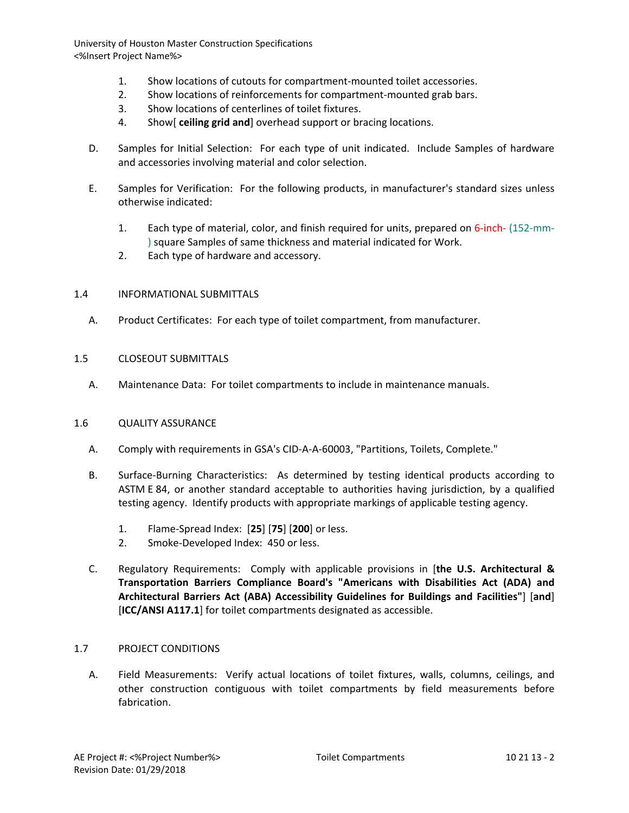- 1. Show locations of cutouts for compartment-mounted toilet accessories.
- 2. Show locations of reinforcements for compartment-mounted grab bars.
- 3. Show locations of centerlines of toilet fixtures.
- 4. Show[ **ceiling grid and**] overhead support or bracing locations.
- D. Samples for Initial Selection: For each type of unit indicated. Include Samples of hardware and accessories involving material and color selection.
- E. Samples for Verification: For the following products, in manufacturer's standard sizes unless otherwise indicated:
	- 1. Each type of material, color, and finish required for units, prepared on 6-inch- (152-mm- ) square Samples of same thickness and material indicated for Work.
	- 2. Each type of hardware and accessory.

### 1.4 INFORMATIONAL SUBMITTALS

A. Product Certificates: For each type of toilet compartment, from manufacturer.

### 1.5 CLOSEOUT SUBMITTALS

A. Maintenance Data: For toilet compartments to include in maintenance manuals.

#### 1.6 QUALITY ASSURANCE

- A. Comply with requirements in GSA's CID-A-A-60003, "Partitions, Toilets, Complete."
- B. Surface-Burning Characteristics: As determined by testing identical products according to ASTM E 84, or another standard acceptable to authorities having jurisdiction, by a qualified testing agency. Identify products with appropriate markings of applicable testing agency.
	- 1. Flame-Spread Index: [**25**] [**75**] [**200**] or less.
	- 2. Smoke-Developed Index: 450 or less.
- C. Regulatory Requirements: Comply with applicable provisions in [**the U.S. Architectural & Transportation Barriers Compliance Board's "Americans with Disabilities Act (ADA) and Architectural Barriers Act (ABA) Accessibility Guidelines for Buildings and Facilities"**] [**and**] [**ICC/ANSI A117.1**] for toilet compartments designated as accessible.

# 1.7 PROJECT CONDITIONS

A. Field Measurements: Verify actual locations of toilet fixtures, walls, columns, ceilings, and other construction contiguous with toilet compartments by field measurements before fabrication.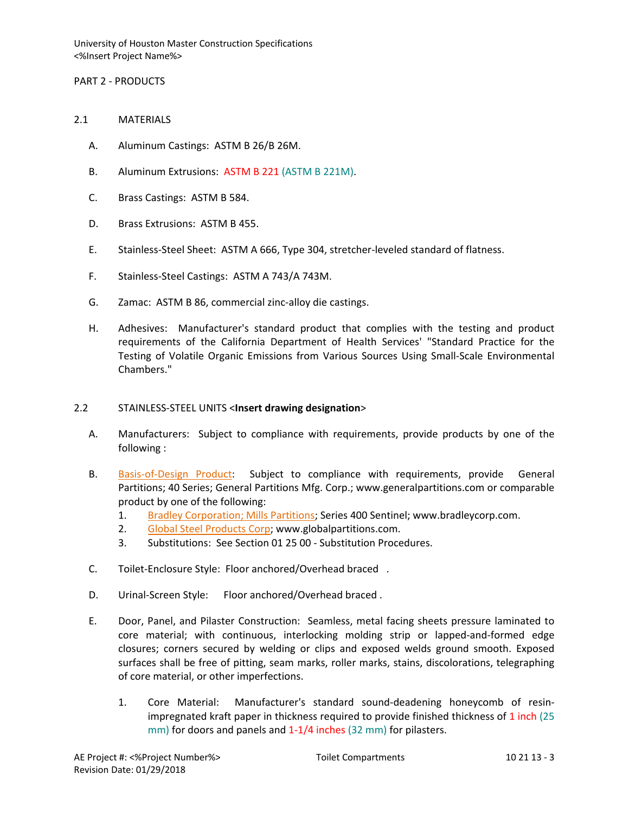### PART 2 - PRODUCTS

- 2.1 MATERIALS
	- A. Aluminum Castings: ASTM B 26/B 26M.
	- B. Aluminum Extrusions: ASTM B 221 (ASTM B 221M).
	- C. Brass Castings: ASTM B 584.
	- D. Brass Extrusions: ASTM B 455.
	- E. Stainless-Steel Sheet: ASTM A 666, Type 304, stretcher-leveled standard of flatness.
	- F. Stainless-Steel Castings: ASTM A 743/A 743M.
	- G. Zamac: ASTM B 86, commercial zinc-alloy die castings.
	- H. Adhesives: Manufacturer's standard product that complies with the testing and product requirements of the California Department of Health Services' "Standard Practice for the Testing of Volatile Organic Emissions from Various Sources Using Small-Scale Environmental Chambers."

#### 2.2 STAINLESS-STEEL UNITS <**Insert drawing designation**>

- A. Manufacturers: Subject to compliance with requirements, provide products by one of the following :
- B. [Basis-of-Design Product:](http://www.specagent.com/LookUp/?ulid=611&mf=04&src=wd) Subject to compliance with requirements, provide General Partitions; 40 Series; General Partitions Mfg. Corp.; www.generalpartitions.com or comparable product by one of the following:
	- 1. [Bradley Corporation; Mills Partitions;](http://www.specagent.com/LookUp/?uid=123456793676&mf=04&src=wd) Series 400 Sentinel; www.bradleycorp.com.
	- 2. [Global Steel Products Corp;](http://www.specagent.com/LookUp/?uid=123456791874&mf=04&src=wd) www.globalpartitions.com.
	- 3. Substitutions: See Section 01 25 00 Substitution Procedures.
- C. Toilet-Enclosure Style: Floor anchored/Overhead braced .
- D. Urinal-Screen Style: Floor anchored/Overhead braced .
- E. Door, Panel, and Pilaster Construction: Seamless, metal facing sheets pressure laminated to core material; with continuous, interlocking molding strip or lapped-and-formed edge closures; corners secured by welding or clips and exposed welds ground smooth. Exposed surfaces shall be free of pitting, seam marks, roller marks, stains, discolorations, telegraphing of core material, or other imperfections.
	- 1. Core Material: Manufacturer's standard sound-deadening honeycomb of resinimpregnated kraft paper in thickness required to provide finished thickness of 1 inch (25 mm) for doors and panels and 1-1/4 inches (32 mm) for pilasters.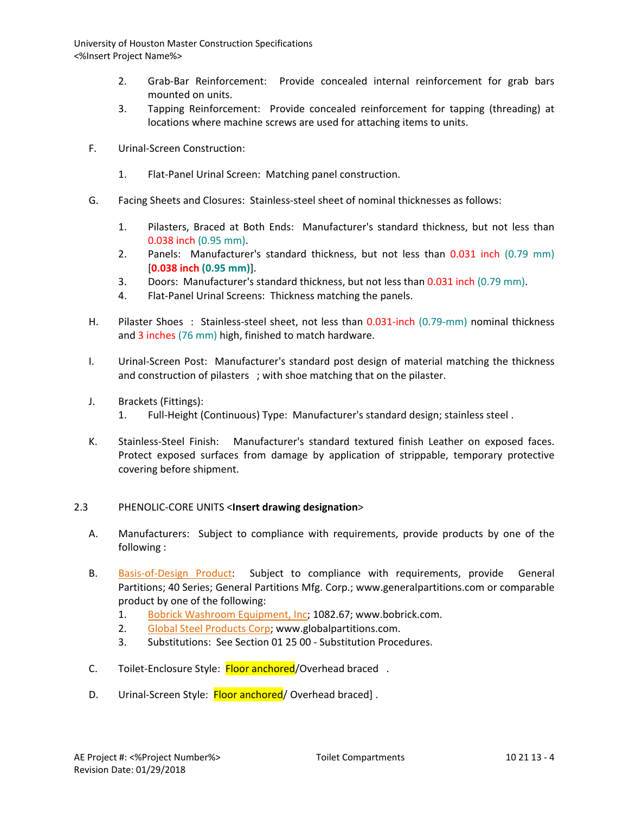- 2. Grab-Bar Reinforcement: Provide concealed internal reinforcement for grab bars mounted on units.
- 3. Tapping Reinforcement: Provide concealed reinforcement for tapping (threading) at locations where machine screws are used for attaching items to units.
- F. Urinal-Screen Construction:
	- 1. Flat-Panel Urinal Screen: Matching panel construction.
- G. Facing Sheets and Closures: Stainless-steel sheet of nominal thicknesses as follows:
	- 1. Pilasters, Braced at Both Ends: Manufacturer's standard thickness, but not less than 0.038 inch (0.95 mm).
	- 2. Panels: Manufacturer's standard thickness, but not less than 0.031 inch (0.79 mm) [**0.038 inch (0.95 mm)**].
	- 3. Doors: Manufacturer's standard thickness, but not less than 0.031 inch (0.79 mm).
	- 4. Flat-Panel Urinal Screens: Thickness matching the panels.
- H. Pilaster Shoes : Stainless-steel sheet, not less than 0.031-inch (0.79-mm) nominal thickness and 3 inches (76 mm) high, finished to match hardware.
- I. Urinal-Screen Post: Manufacturer's standard post design of material matching the thickness and construction of pilasters ; with shoe matching that on the pilaster.
- J. Brackets (Fittings):
	- 1. Full-Height (Continuous) Type: Manufacturer's standard design; stainless steel .
- K. Stainless-Steel Finish: Manufacturer's standard textured finish Leather on exposed faces. Protect exposed surfaces from damage by application of strippable, temporary protective covering before shipment.

# 2.3 PHENOLIC-CORE UNITS <**Insert drawing designation**>

- A. Manufacturers: Subject to compliance with requirements, provide products by one of the following :
- B. [Basis-of-Design Product:](http://www.specagent.com/LookUp/?ulid=613&mf=04&src=wd) Subject to compliance with requirements, provide General Partitions; 40 Series; General Partitions Mfg. Corp.; www.generalpartitions.com or comparable product by one of the following:
	- 1. [Bobrick Washroom Equipment, Inc;](http://www.specagent.com/LookUp/?uid=123456791955&mf=04&src=wd) 1082.67; www.bobrick.com.
	- 2. [Global Steel Products Corp;](http://www.specagent.com/LookUp/?uid=123456791960&mf=04&src=wd) www.globalpartitions.com.
	- 3. Substitutions: See Section 01 25 00 Substitution Procedures.
- C. Toilet-Enclosure Style: Floor anchored/Overhead braced.
- D. Urinal-Screen Style: Floor anchored/ Overhead braced].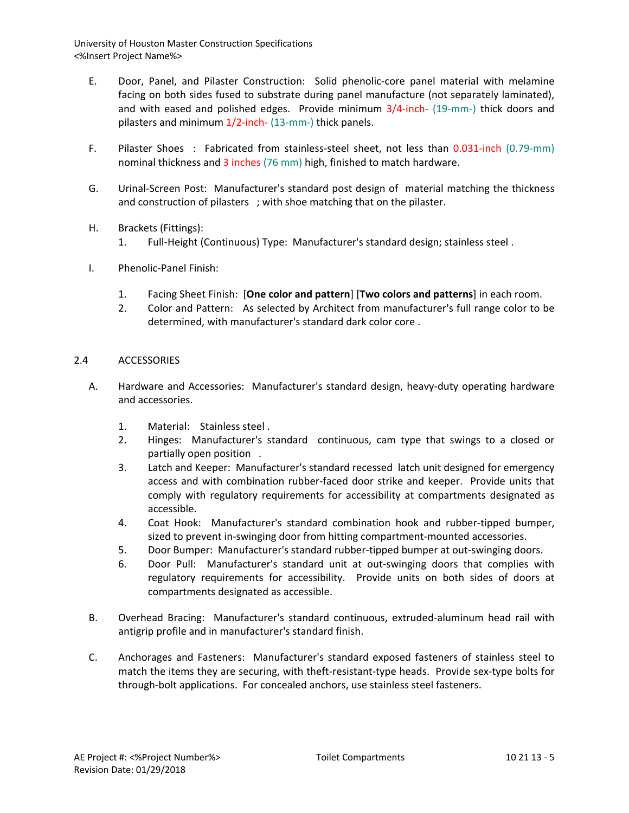- E. Door, Panel, and Pilaster Construction: Solid phenolic-core panel material with melamine facing on both sides fused to substrate during panel manufacture (not separately laminated), and with eased and polished edges. Provide minimum 3/4-inch- (19-mm-) thick doors and pilasters and minimum 1/2-inch- (13-mm-) thick panels.
- F. Pilaster Shoes : Fabricated from stainless-steel sheet, not less than 0.031-inch (0.79-mm) nominal thickness and 3 inches (76 mm) high, finished to match hardware.
- G. Urinal-Screen Post: Manufacturer's standard post design of material matching the thickness and construction of pilasters ; with shoe matching that on the pilaster.
- H. Brackets (Fittings):
	- 1. Full-Height (Continuous) Type: Manufacturer's standard design; stainless steel .
- I. Phenolic-Panel Finish:
	- 1. Facing Sheet Finish: [**One color and pattern**] [**Two colors and patterns**] in each room.
	- 2. Color and Pattern: As selected by Architect from manufacturer's full range color to be determined, with manufacturer's standard dark color core .

### 2.4 ACCESSORIES

- A. Hardware and Accessories: Manufacturer's standard design, heavy-duty operating hardware and accessories.
	- 1. Material: Stainless steel .
	- 2. Hinges: Manufacturer's standard continuous, cam type that swings to a closed or partially open position .
	- 3. Latch and Keeper: Manufacturer's standard recessed latch unit designed for emergency access and with combination rubber-faced door strike and keeper. Provide units that comply with regulatory requirements for accessibility at compartments designated as accessible.
	- 4. Coat Hook: Manufacturer's standard combination hook and rubber-tipped bumper, sized to prevent in-swinging door from hitting compartment-mounted accessories.
	- 5. Door Bumper: Manufacturer's standard rubber-tipped bumper at out-swinging doors.
	- 6. Door Pull: Manufacturer's standard unit at out-swinging doors that complies with regulatory requirements for accessibility. Provide units on both sides of doors at compartments designated as accessible.
- B. Overhead Bracing: Manufacturer's standard continuous, extruded-aluminum head rail with antigrip profile and in manufacturer's standard finish.
- C. Anchorages and Fasteners: Manufacturer's standard exposed fasteners of stainless steel to match the items they are securing, with theft-resistant-type heads. Provide sex-type bolts for through-bolt applications. For concealed anchors, use stainless steel fasteners.